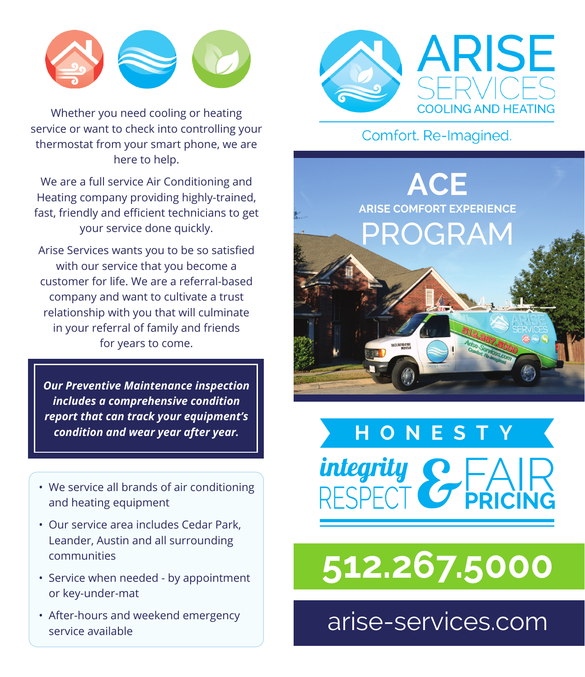

Whether you need cooling or heating service or want to check into controlling your thermostat from your smart phone, we are here to help.

We are a full service Air Conditioning and Heating company providing highly-trained, fast, friendly and efficient technicians to get your service done quickly.

Arise Services wants you to be so satisfied with our service that you become a customer for life. We are a referral-based company and want to cultivate a trust relationship with you that will culminate in your referral of family and friends for years to come.

*Our Preventive Maintenance inspection includes a comprehensive condition report that can track your equipment's condition and wear year after year.*

- We service all brands of air conditioning and heating equipment
- Our service area includes Cedar Park, Leander, Austin and all surrounding communities
- Service when needed by appointment or key-under-mat
- After-hours and weekend emergency service available



## Comfort. Re-Imagined.





## **[512.267.5000](tel:5122675000)**

[arise-services.com](https://arise-services.com/)